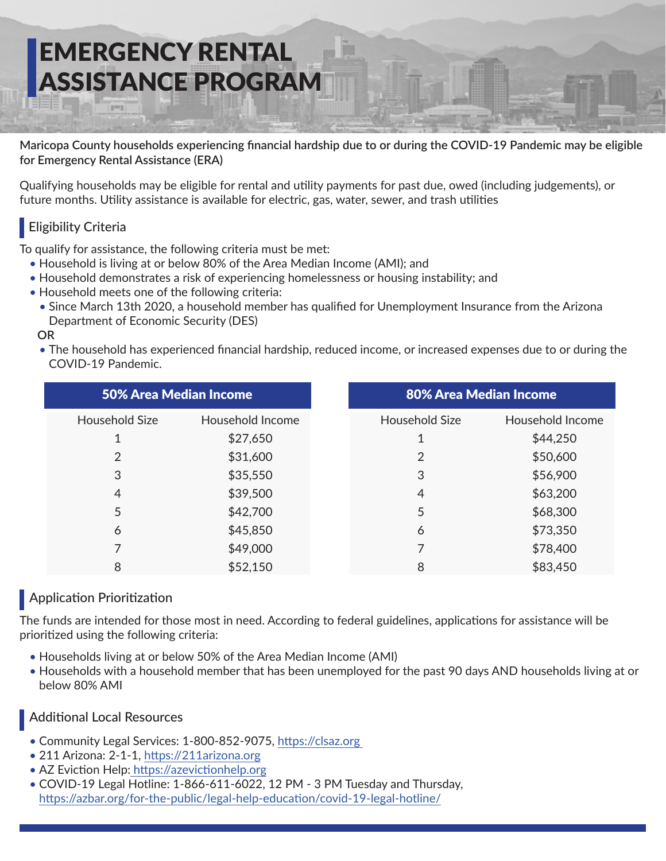# EMERGENCY RENTAL ASSISTANCE PROGRAM

**Maricopa County households experiencing financial hardship due to or during the COVID-19 Pandemic may be eligible for Emergency Rental Assistance (ERA)**

Qualifying households may be eligible for rental and utility payments for past due, owed (including judgements), or future months. Utility assistance is available for electric, gas, water, sewer, and trash utilities

#### **Eligibility Criteria**

To qualify for assistance, the following criteria must be met:

- Household is living at or below 80% of the Area Median Income (AMI); and
- Household demonstrates a risk of experiencing homelessness or housing instability; and
- Household meets one of the following criteria:
	- Since March 13th 2020, a household member has qualified for Unemployment Insurance from the Arizona Department of Economic Security (DES)

#### **OR**

• The household has experienced financial hardship, reduced income, or increased expenses due to or during the COVID-19 Pandemic.

|                       | 50% Area Median Income |
|-----------------------|------------------------|
| <b>Household Size</b> | Household Income       |
| 1                     | \$27,650               |
| 2                     | \$31,600               |
| 3                     | \$35,550               |
| $\overline{4}$        | \$39,500               |
| 5                     | \$42,700               |
| 6                     | \$45,850               |
| 7                     | \$49,000               |
| 8                     | \$52,150               |

#### **Application Prioritization**

The funds are intended for those most in need. According to federal guidelines, applications for assistance will be prioritized using the following criteria:

- Households living at or below 50% of the Area Median Income (AMI)
- Households with a household member that has been unemployed for the past 90 days AND households living at or below 80% AMI

#### Additional Local Resources

- Community Legal Services: 1-800-852-9075, https://clsaz.org
- 211 Arizona: 2-1-1, https://211arizona.org
- AZ Eviction Help: https://azevictionhelp.org
- COVID-19 Legal Hotline: 1-866-611-6022, 12 PM 3 PM Tuesday and Thursday, https://azbar.org/for-the-public/legal-help-education/covid-19-legal-hotline/